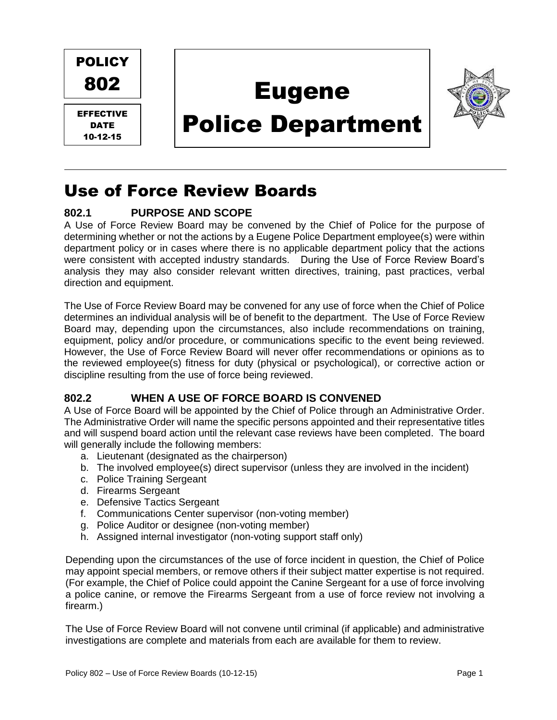

## Use of Force Review Boards

## **802.1 PURPOSE AND SCOPE**

A Use of Force Review Board may be convened by the Chief of Police for the purpose of determining whether or not the actions by a Eugene Police Department employee(s) were within department policy or in cases where there is no applicable department policy that the actions were consistent with accepted industry standards. During the Use of Force Review Board's analysis they may also consider relevant written directives, training, past practices, verbal direction and equipment.

The Use of Force Review Board may be convened for any use of force when the Chief of Police determines an individual analysis will be of benefit to the department. The Use of Force Review Board may, depending upon the circumstances, also include recommendations on training, equipment, policy and/or procedure, or communications specific to the event being reviewed. However, the Use of Force Review Board will never offer recommendations or opinions as to the reviewed employee(s) fitness for duty (physical or psychological), or corrective action or discipline resulting from the use of force being reviewed.

## **802.2 WHEN A USE OF FORCE BOARD IS CONVENED**

A Use of Force Board will be appointed by the Chief of Police through an Administrative Order. The Administrative Order will name the specific persons appointed and their representative titles and will suspend board action until the relevant case reviews have been completed. The board will generally include the following members:

- a. Lieutenant (designated as the chairperson)
- b. The involved employee(s) direct supervisor (unless they are involved in the incident)
- c. Police Training Sergeant
- d. Firearms Sergeant
- e. Defensive Tactics Sergeant
- f. Communications Center supervisor (non-voting member)
- g. Police Auditor or designee (non-voting member)
- h. Assigned internal investigator (non-voting support staff only)

Depending upon the circumstances of the use of force incident in question, the Chief of Police may appoint special members, or remove others if their subject matter expertise is not required. (For example, the Chief of Police could appoint the Canine Sergeant for a use of force involving a police canine, or remove the Firearms Sergeant from a use of force review not involving a firearm.)

The Use of Force Review Board will not convene until criminal (if applicable) and administrative investigations are complete and materials from each are available for them to review.